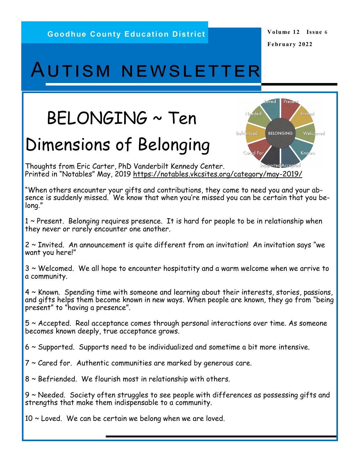oved

**BELONGING** 

Needed

**Cared Fo** 

Befriended

Presen

Invited

Known

Welcomed

## Autism newsletter

# BELONGING ~ Ten

## Dimensions of Belonging

Thoughts from Eric Carter, PhD Vanderbilt Kennedy Center. Printed in "Notables" May, 2019 [https://notables.vkcsites.org/category/may](https://notables.vkcsites.org/category/may-2019/)-2019[/](https://notables.vkcsites.org/category/may-2019/)

"When others encounter your gifts and contributions, they come to need you and your absence is suddenly missed. We know that when you're missed you can be certain that you belong."

1 ~ Present. Belonging requires presence. It is hard for people to be in relationship when they never or rarely encounter one another.

2 ~ Invited. An announcement is quite different from an invitation! An invitation says "we want you here!"

3 ~ Welcomed. We all hope to encounter hospitatity and a warm welcome when we arrive to a community.

4 ~ Known. Spending time with someone and learning about their interests, stories, passions, and gifts helps them become known in new ways. When people are known, they go from "being present" to "having a presence".

5 ~ Accepted. Real acceptance comes through personal interactions over time. As someone becomes known deeply, true acceptance grows.

6 ~ Supported. Supports need to be individualized and sometime a bit more intensive.

7 ~ Cared for. Authentic communities are marked by generous care.

8 ~ Befriended. We flourish most in relationship with others.

9 ~ Needed. Society often struggles to see people with differences as possessing gifts and strengths that make them indispensable to a community.

 $10 \sim$  Loved. We can be certain we belong when we are loved.